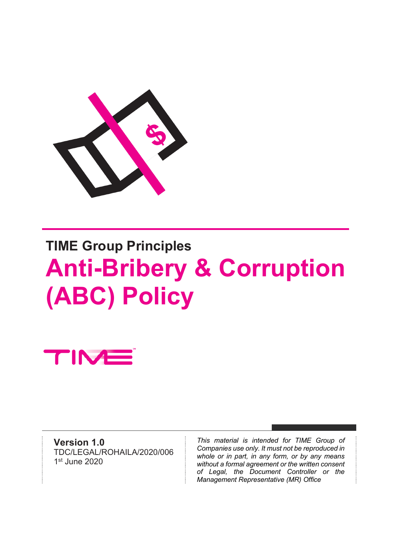

# **TIME Group Principles Anti-Bribery & Corruption (ABC) Policy**

TIM

**Version 1.0** TDC/LEGAL/ROHAILA/2020/006 1st June 2020

*This material is intended for TIME Group of Companies use only. It must not be reproduced in whole or in part, in any form, or by any means without a formal agreement or the written consent of Legal, the Document Controller or the Management Representative (MR) Office*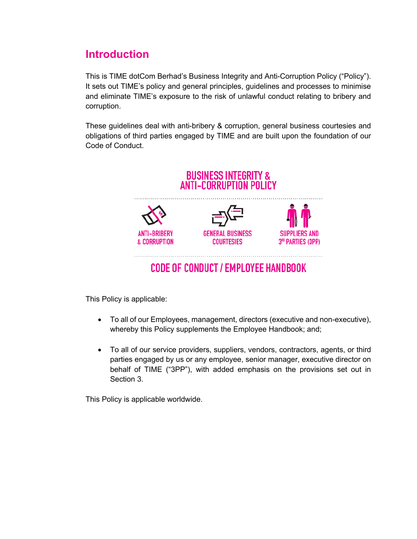## **Introduction**

This is TIME dotCom Berhad's Business Integrity and Anti-Corruption Policy ("Policy"). It sets out TIME's policy and general principles, guidelines and processes to minimise and eliminate TIME's exposure to the risk of unlawful conduct relating to bribery and corruption.

These guidelines deal with anti-bribery & corruption, general business courtesies and obligations of third parties engaged by TIME and are built upon the foundation of our Code of Conduct.



This Policy is applicable:

- To all of our Employees, management, directors (executive and non-executive), whereby this Policy supplements the Employee Handbook; and;
- To all of our service providers, suppliers, vendors, contractors, agents, or third parties engaged by us or any employee, senior manager, executive director on behalf of TIME ("3PP"), with added emphasis on the provisions set out in Section 3.

This Policy is applicable worldwide.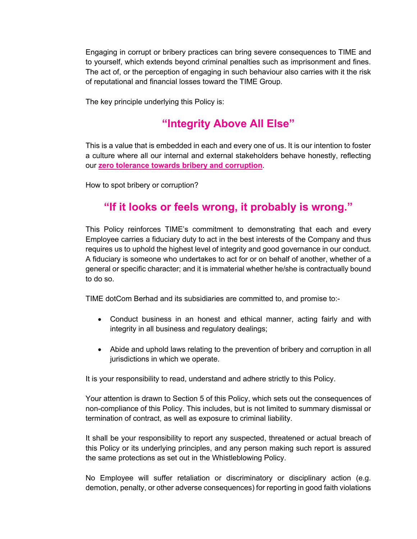Engaging in corrupt or bribery practices can bring severe consequences to TIME and to yourself, which extends beyond criminal penalties such as imprisonment and fines. The act of, or the perception of engaging in such behaviour also carries with it the risk of reputational and financial losses toward the TIME Group.

The key principle underlying this Policy is:

## **"Integrity Above All Else"**

This is a value that is embedded in each and every one of us. It is our intention to foster a culture where all our internal and external stakeholders behave honestly, reflecting our **zero tolerance towards bribery and corruption**.

How to spot bribery or corruption?

## **"If it looks or feels wrong, it probably is wrong."**

This Policy reinforces TIME's commitment to demonstrating that each and every Employee carries a fiduciary duty to act in the best interests of the Company and thus requires us to uphold the highest level of integrity and good governance in our conduct. A fiduciary is someone who undertakes to act for or on behalf of another, whether of a general or specific character; and it is immaterial whether he/she is contractually bound to do so.

TIME dotCom Berhad and its subsidiaries are committed to, and promise to:-

- Conduct business in an honest and ethical manner, acting fairly and with integrity in all business and regulatory dealings;
- Abide and uphold laws relating to the prevention of bribery and corruption in all jurisdictions in which we operate.

It is your responsibility to read, understand and adhere strictly to this Policy.

Your attention is drawn to Section 5 of this Policy, which sets out the consequences of non-compliance of this Policy. This includes, but is not limited to summary dismissal or termination of contract, as well as exposure to criminal liability.

It shall be your responsibility to report any suspected, threatened or actual breach of this Policy or its underlying principles, and any person making such report is assured the same protections as set out in the Whistleblowing Policy.

No Employee will suffer retaliation or discriminatory or disciplinary action (e.g. demotion, penalty, or other adverse consequences) for reporting in good faith violations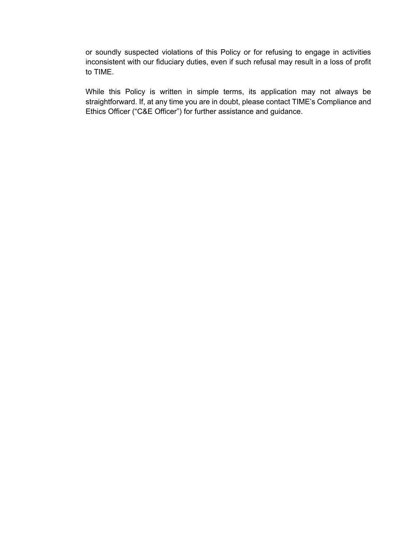or soundly suspected violations of this Policy or for refusing to engage in activities inconsistent with our fiduciary duties, even if such refusal may result in a loss of profit to TIME.

While this Policy is written in simple terms, its application may not always be straightforward. If, at any time you are in doubt, please contact TIME's Compliance and Ethics Officer ("C&E Officer") for further assistance and guidance.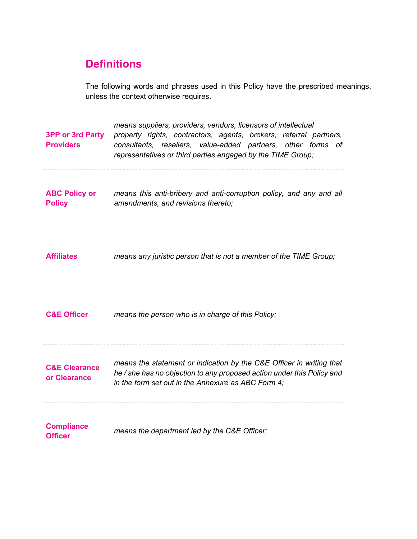## **Definitions**

The following words and phrases used in this Policy have the prescribed meanings, unless the context otherwise requires.

| <b>3PP or 3rd Party</b><br><b>Providers</b> | means suppliers, providers, vendors, licensors of intellectual<br>property rights, contractors, agents, brokers, referral partners,<br>consultants, resellers, value-added partners, other forms<br>of<br>representatives or third parties engaged by the TIME Group; |
|---------------------------------------------|-----------------------------------------------------------------------------------------------------------------------------------------------------------------------------------------------------------------------------------------------------------------------|
| <b>ABC Policy or</b><br><b>Policy</b>       | means this anti-bribery and anti-corruption policy, and any and all<br>amendments, and revisions thereto;                                                                                                                                                             |
| <b>Affiliates</b>                           | means any juristic person that is not a member of the TIME Group;                                                                                                                                                                                                     |
| <b>C&amp;E Officer</b>                      | means the person who is in charge of this Policy;                                                                                                                                                                                                                     |
| <b>C&amp;E Clearance</b><br>or Clearance    | means the statement or indication by the C&E Officer in writing that<br>he / she has no objection to any proposed action under this Policy and<br>in the form set out in the Annexure as ABC Form 4;                                                                  |
| <b>Compliance</b><br><b>Officer</b>         | means the department led by the C&E Officer;                                                                                                                                                                                                                          |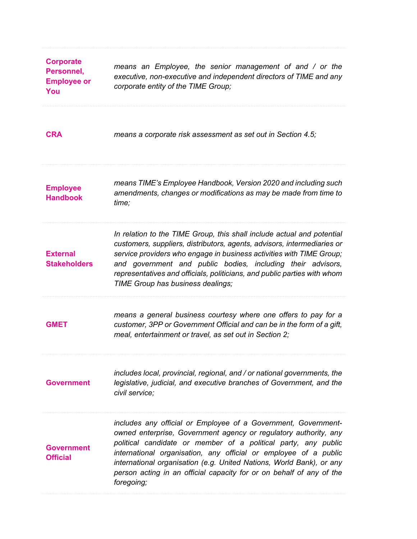| <b>Corporate</b><br>Personnel,<br><b>Employee or</b><br>You | means an Employee, the senior management of and / or the<br>executive, non-executive and independent directors of TIME and any<br>corporate entity of the TIME Group;                                                                                                                                                                                                                                                                  |
|-------------------------------------------------------------|----------------------------------------------------------------------------------------------------------------------------------------------------------------------------------------------------------------------------------------------------------------------------------------------------------------------------------------------------------------------------------------------------------------------------------------|
| <b>CRA</b>                                                  | means a corporate risk assessment as set out in Section 4.5;                                                                                                                                                                                                                                                                                                                                                                           |
| <b>Employee</b><br><b>Handbook</b>                          | means TIME's Employee Handbook, Version 2020 and including such<br>amendments, changes or modifications as may be made from time to<br>time;                                                                                                                                                                                                                                                                                           |
| <b>External</b><br><b>Stakeholders</b>                      | In relation to the TIME Group, this shall include actual and potential<br>customers, suppliers, distributors, agents, advisors, intermediaries or<br>service providers who engage in business activities with TIME Group;<br>and government and public bodies, including their advisors,<br>representatives and officials, politicians, and public parties with whom<br>TIME Group has business dealings;                              |
| <b>GMET</b>                                                 | means a general business courtesy where one offers to pay for a<br>customer, 3PP or Government Official and can be in the form of a gift,<br>meal, entertainment or travel, as set out in Section 2;                                                                                                                                                                                                                                   |
| <b>Government</b>                                           | includes local, provincial, regional, and / or national governments, the<br>legislative, judicial, and executive branches of Government, and the<br>civil service;                                                                                                                                                                                                                                                                     |
| <b>Government</b><br><b>Official</b>                        | includes any official or Employee of a Government, Government-<br>owned enterprise, Government agency or regulatory authority, any<br>political candidate or member of a political party, any public<br>international organisation, any official or employee of a public<br>international organisation (e.g. United Nations, World Bank), or any<br>person acting in an official capacity for or on behalf of any of the<br>foregoing; |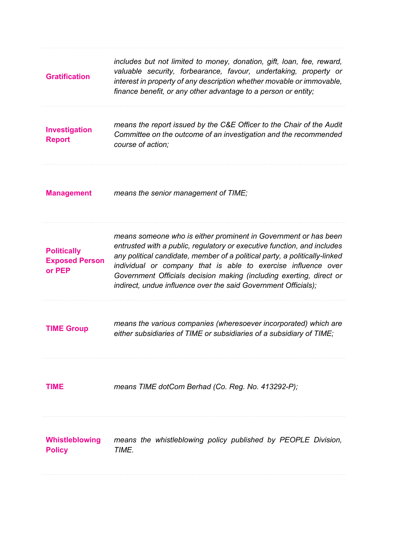| <b>Gratification</b>                                  | includes but not limited to money, donation, gift, loan, fee, reward,<br>valuable security, forbearance, favour, undertaking, property or<br>interest in property of any description whether movable or immovable,<br>finance benefit, or any other advantage to a person or entity;                                                                                                                                               |
|-------------------------------------------------------|------------------------------------------------------------------------------------------------------------------------------------------------------------------------------------------------------------------------------------------------------------------------------------------------------------------------------------------------------------------------------------------------------------------------------------|
| Investigation<br><b>Report</b>                        | means the report issued by the C&E Officer to the Chair of the Audit<br>Committee on the outcome of an investigation and the recommended<br>course of action:                                                                                                                                                                                                                                                                      |
| <b>Management</b>                                     | means the senior management of TIME;                                                                                                                                                                                                                                                                                                                                                                                               |
| <b>Politically</b><br><b>Exposed Person</b><br>or PEP | means someone who is either prominent in Government or has been<br>entrusted with a public, regulatory or executive function, and includes<br>any political candidate, member of a political party, a politically-linked<br>individual or company that is able to exercise influence over<br>Government Officials decision making (including exerting, direct or<br>indirect, undue influence over the said Government Officials); |
| <b>TIME Group</b>                                     | means the various companies (wheresoever incorporated) which are<br>either subsidiaries of TIME or subsidiaries of a subsidiary of TIME;                                                                                                                                                                                                                                                                                           |
| <b>TIME</b>                                           | means TIME dotCom Berhad (Co. Reg. No. 413292-P);                                                                                                                                                                                                                                                                                                                                                                                  |
| Whistleblowing<br><b>Policy</b>                       | means the whistleblowing policy published by PEOPLE Division,<br>TIME.                                                                                                                                                                                                                                                                                                                                                             |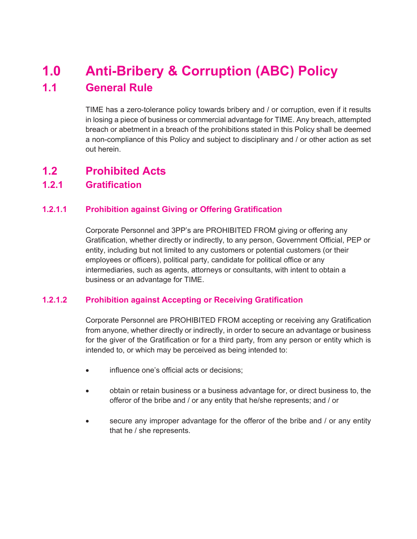## **1.0 Anti-Bribery & Corruption (ABC) Policy 1.1 General Rule**

TIME has a zero-tolerance policy towards bribery and / or corruption, even if it results in losing a piece of business or commercial advantage for TIME. Any breach, attempted breach or abetment in a breach of the prohibitions stated in this Policy shall be deemed a non-compliance of this Policy and subject to disciplinary and / or other action as set out herein.

## **1.2 Prohibited Acts**

## **1.2.1 Gratification**

## **1.2.1.1 Prohibition against Giving or Offering Gratification**

Corporate Personnel and 3PP's are PROHIBITED FROM giving or offering any Gratification, whether directly or indirectly, to any person, Government Official, PEP or entity, including but not limited to any customers or potential customers (or their employees or officers), political party, candidate for political office or any intermediaries, such as agents, attorneys or consultants, with intent to obtain a business or an advantage for TIME.

### **1.2.1.2 Prohibition against Accepting or Receiving Gratification**

Corporate Personnel are PROHIBITED FROM accepting or receiving any Gratification from anyone, whether directly or indirectly, in order to secure an advantage or business for the giver of the Gratification or for a third party, from any person or entity which is intended to, or which may be perceived as being intended to:

- influence one's official acts or decisions;
- obtain or retain business or a business advantage for, or direct business to, the offeror of the bribe and / or any entity that he/she represents; and / or
- secure any improper advantage for the offeror of the bribe and / or any entity that he / she represents.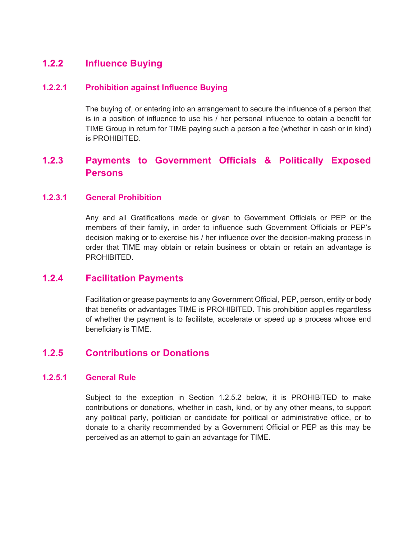## **1.2.2 Influence Buying**

#### **1.2.2.1 Prohibition against Influence Buying**

The buying of, or entering into an arrangement to secure the influence of a person that is in a position of influence to use his / her personal influence to obtain a benefit for TIME Group in return for TIME paying such a person a fee (whether in cash or in kind) is PROHIBITED.

## **1.2.3 Payments to Government Officials & Politically Exposed Persons**

#### **1.2.3.1 General Prohibition**

Any and all Gratifications made or given to Government Officials or PEP or the members of their family, in order to influence such Government Officials or PEP's decision making or to exercise his / her influence over the decision-making process in order that TIME may obtain or retain business or obtain or retain an advantage is PROHIBITED.

## **1.2.4 Facilitation Payments**

Facilitation or grease payments to any Government Official, PEP, person, entity or body that benefits or advantages TIME is PROHIBITED. This prohibition applies regardless of whether the payment is to facilitate, accelerate or speed up a process whose end beneficiary is TIME.

## **1.2.5 Contributions or Donations**

#### **1.2.5.1 General Rule**

Subject to the exception in Section 1.2.5.2 below, it is PROHIBITED to make contributions or donations, whether in cash, kind, or by any other means, to support any political party, politician or candidate for political or administrative office, or to donate to a charity recommended by a Government Official or PEP as this may be perceived as an attempt to gain an advantage for TIME.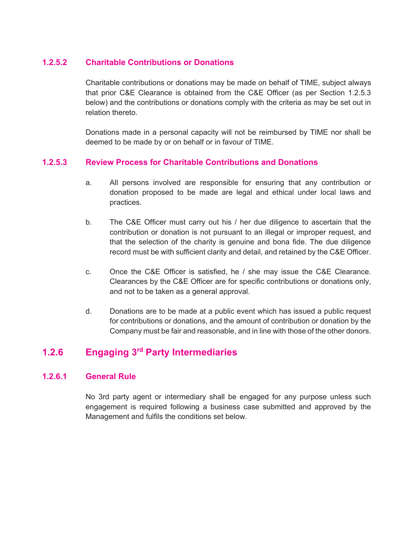### **1.2.5.2 Charitable Contributions or Donations**

Charitable contributions or donations may be made on behalf of TIME, subject always that prior C&E Clearance is obtained from the C&E Officer (as per Section 1.2.5.3 below) and the contributions or donations comply with the criteria as may be set out in relation thereto.

Donations made in a personal capacity will not be reimbursed by TIME nor shall be deemed to be made by or on behalf or in favour of TIME.

### **1.2.5.3 Review Process for Charitable Contributions and Donations**

- a. All persons involved are responsible for ensuring that any contribution or donation proposed to be made are legal and ethical under local laws and practices.
- b. The C&E Officer must carry out his / her due diligence to ascertain that the contribution or donation is not pursuant to an illegal or improper request, and that the selection of the charity is genuine and bona fide. The due diligence record must be with sufficient clarity and detail, and retained by the C&E Officer.
- c. Once the C&E Officer is satisfied, he / she may issue the C&E Clearance. Clearances by the C&E Officer are for specific contributions or donations only, and not to be taken as a general approval.
- d. Donations are to be made at a public event which has issued a public request for contributions or donations, and the amount of contribution or donation by the Company must be fair and reasonable, and in line with those of the other donors.

## **1.2.6 Engaging 3rd Party Intermediaries**

### **1.2.6.1 General Rule**

No 3rd party agent or intermediary shall be engaged for any purpose unless such engagement is required following a business case submitted and approved by the Management and fulfils the conditions set below.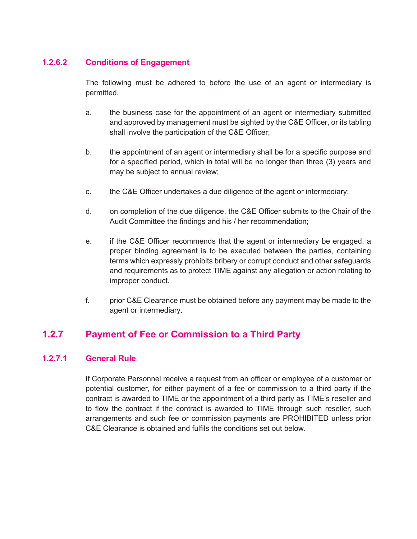## **1.2.6.2 Conditions of Engagement**

The following must be adhered to before the use of an agent or intermediary is permitted.

- a. the business case for the appointment of an agent or intermediary submitted and approved by management must be sighted by the C&E Officer, or its tabling shall involve the participation of the C&E Officer;
- b. the appointment of an agent or intermediary shall be for a specific purpose and for a specified period, which in total will be no longer than three (3) years and may be subject to annual review;
- c. the C&E Officer undertakes a due diligence of the agent or intermediary;
- d. on completion of the due diligence, the C&E Officer submits to the Chair of the Audit Committee the findings and his / her recommendation;
- e. if the C&E Officer recommends that the agent or intermediary be engaged, a proper binding agreement is to be executed between the parties, containing terms which expressly prohibits bribery or corrupt conduct and other safeguards and requirements as to protect TIME against any allegation or action relating to improper conduct.
- f. prior C&E Clearance must be obtained before any payment may be made to the agent or intermediary.

## **1.2.7 Payment of Fee or Commission to a Third Party**

### **1.2.7.1 General Rule**

If Corporate Personnel receive a request from an officer or employee of a customer or potential customer, for either payment of a fee or commission to a third party if the contract is awarded to TIME or the appointment of a third party as TIME's reseller and to flow the contract if the contract is awarded to TIME through such reseller, such arrangements and such fee or commission payments are PROHIBITED unless prior C&E Clearance is obtained and fulfils the conditions set out below.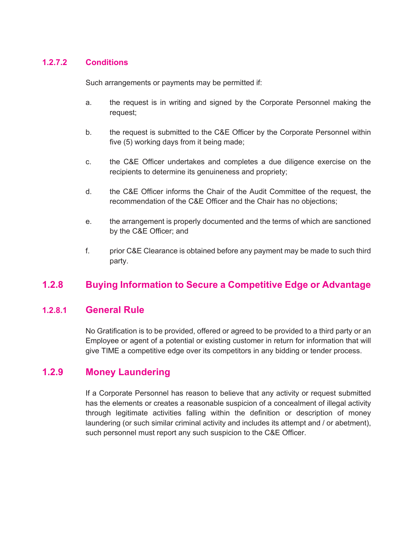### **1.2.7.2 Conditions**

Such arrangements or payments may be permitted if:

- a. the request is in writing and signed by the Corporate Personnel making the request;
- b. the request is submitted to the C&E Officer by the Corporate Personnel within five (5) working days from it being made;
- c. the C&E Officer undertakes and completes a due diligence exercise on the recipients to determine its genuineness and propriety;
- d. the C&E Officer informs the Chair of the Audit Committee of the request, the recommendation of the C&E Officer and the Chair has no objections;
- e. the arrangement is properly documented and the terms of which are sanctioned by the C&E Officer; and
- f. prior C&E Clearance is obtained before any payment may be made to such third party.

## **1.2.8 Buying Information to Secure a Competitive Edge or Advantage**

## **1.2.8.1 General Rule**

No Gratification is to be provided, offered or agreed to be provided to a third party or an Employee or agent of a potential or existing customer in return for information that will give TIME a competitive edge over its competitors in any bidding or tender process.

## **1.2.9 Money Laundering**

If a Corporate Personnel has reason to believe that any activity or request submitted has the elements or creates a reasonable suspicion of a concealment of illegal activity through legitimate activities falling within the definition or description of money laundering (or such similar criminal activity and includes its attempt and / or abetment), such personnel must report any such suspicion to the C&E Officer.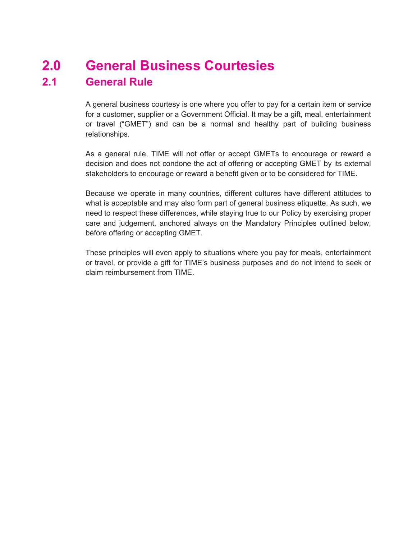## **2.0 General Business Courtesies 2.1 General Rule**

A general business courtesy is one where you offer to pay for a certain item or service for a customer, supplier or a Government Official. It may be a gift, meal, entertainment or travel ("GMET") and can be a normal and healthy part of building business relationships.

As a general rule, TIME will not offer or accept GMETs to encourage or reward a decision and does not condone the act of offering or accepting GMET by its external stakeholders to encourage or reward a benefit given or to be considered for TIME.

Because we operate in many countries, different cultures have different attitudes to what is acceptable and may also form part of general business etiquette. As such, we need to respect these differences, while staying true to our Policy by exercising proper care and judgement, anchored always on the Mandatory Principles outlined below, before offering or accepting GMET.

These principles will even apply to situations where you pay for meals, entertainment or travel, or provide a gift for TIME's business purposes and do not intend to seek or claim reimbursement from TIME.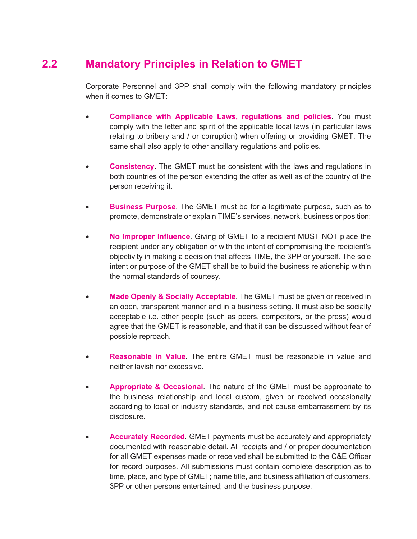## **2.2 Mandatory Principles in Relation to GMET**

Corporate Personnel and 3PP shall comply with the following mandatory principles when it comes to GMET:

- **Compliance with Applicable Laws, regulations and policies**. You must comply with the letter and spirit of the applicable local laws (in particular laws relating to bribery and / or corruption) when offering or providing GMET. The same shall also apply to other ancillary regulations and policies.
- **Consistency**. The GMET must be consistent with the laws and regulations in both countries of the person extending the offer as well as of the country of the person receiving it.
- **Business Purpose**. The GMET must be for a legitimate purpose, such as to promote, demonstrate or explain TIME's services, network, business or position;
- **No Improper Influence**. Giving of GMET to a recipient MUST NOT place the recipient under any obligation or with the intent of compromising the recipient's objectivity in making a decision that affects TIME, the 3PP or yourself. The sole intent or purpose of the GMET shall be to build the business relationship within the normal standards of courtesy.
- **Made Openly & Socially Acceptable**. The GMET must be given or received in an open, transparent manner and in a business setting. It must also be socially acceptable i.e. other people (such as peers, competitors, or the press) would agree that the GMET is reasonable, and that it can be discussed without fear of possible reproach.
- **Reasonable in Value**. The entire GMET must be reasonable in value and neither lavish nor excessive.
- **Appropriate & Occasional**. The nature of the GMET must be appropriate to the business relationship and local custom, given or received occasionally according to local or industry standards, and not cause embarrassment by its disclosure.
- **Accurately Recorded**. GMET payments must be accurately and appropriately documented with reasonable detail. All receipts and / or proper documentation for all GMET expenses made or received shall be submitted to the C&E Officer for record purposes. All submissions must contain complete description as to time, place, and type of GMET; name title, and business affiliation of customers, 3PP or other persons entertained; and the business purpose.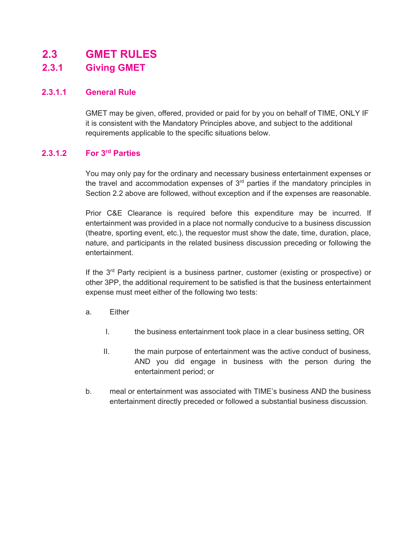## **2.3 GMET RULES**

## **2.3.1 Giving GMET**

### **2.3.1.1 General Rule**

GMET may be given, offered, provided or paid for by you on behalf of TIME, ONLY IF it is consistent with the Mandatory Principles above, and subject to the additional requirements applicable to the specific situations below.

## **2.3.1.2 For 3rd Parties**

You may only pay for the ordinary and necessary business entertainment expenses or the travel and accommodation expenses of  $3<sup>rd</sup>$  parties if the mandatory principles in Section 2.2 above are followed, without exception and if the expenses are reasonable.

Prior C&E Clearance is required before this expenditure may be incurred. If entertainment was provided in a place not normally conducive to a business discussion (theatre, sporting event, etc.), the requestor must show the date, time, duration, place, nature, and participants in the related business discussion preceding or following the entertainment.

If the  $3<sup>rd</sup>$  Party recipient is a business partner, customer (existing or prospective) or other 3PP, the additional requirement to be satisfied is that the business entertainment expense must meet either of the following two tests:

- a. Either
	- I. the business entertainment took place in a clear business setting, OR
	- II. the main purpose of entertainment was the active conduct of business, AND you did engage in business with the person during the entertainment period; or
- b. meal or entertainment was associated with TIME's business AND the business entertainment directly preceded or followed a substantial business discussion.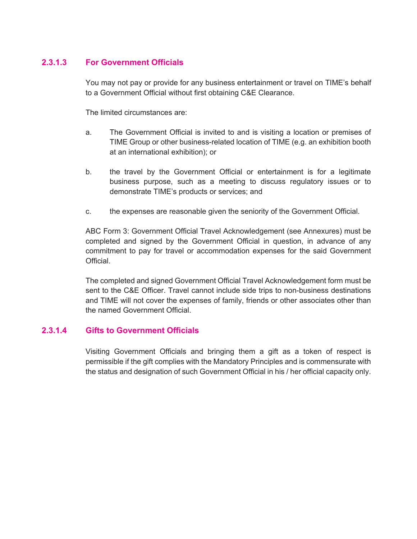## **2.3.1.3 For Government Officials**

You may not pay or provide for any business entertainment or travel on TIME's behalf to a Government Official without first obtaining C&E Clearance.

The limited circumstances are:

- a. The Government Official is invited to and is visiting a location or premises of TIME Group or other business-related location of TIME (e.g. an exhibition booth at an international exhibition); or
- b. the travel by the Government Official or entertainment is for a legitimate business purpose, such as a meeting to discuss regulatory issues or to demonstrate TIME's products or services; and
- c. the expenses are reasonable given the seniority of the Government Official.

ABC Form 3: Government Official Travel Acknowledgement (see Annexures) must be completed and signed by the Government Official in question, in advance of any commitment to pay for travel or accommodation expenses for the said Government Official.

The completed and signed Government Official Travel Acknowledgement form must be sent to the C&E Officer. Travel cannot include side trips to non-business destinations and TIME will not cover the expenses of family, friends or other associates other than the named Government Official.

## **2.3.1.4 Gifts to Government Officials**

Visiting Government Officials and bringing them a gift as a token of respect is permissible if the gift complies with the Mandatory Principles and is commensurate with the status and designation of such Government Official in his / her official capacity only.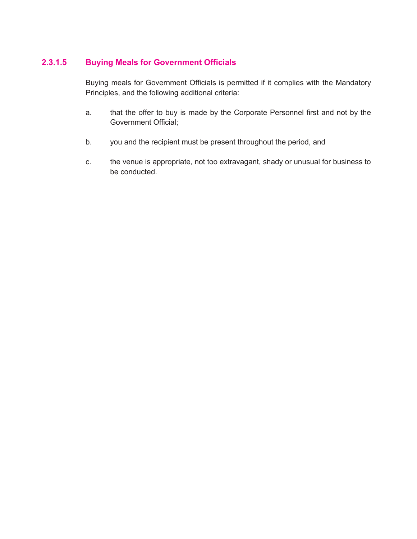## **2.3.1.5 Buying Meals for Government Officials**

Buying meals for Government Officials is permitted if it complies with the Mandatory Principles, and the following additional criteria:

- a. that the offer to buy is made by the Corporate Personnel first and not by the Government Official;
- b. you and the recipient must be present throughout the period, and
- c. the venue is appropriate, not too extravagant, shady or unusual for business to be conducted.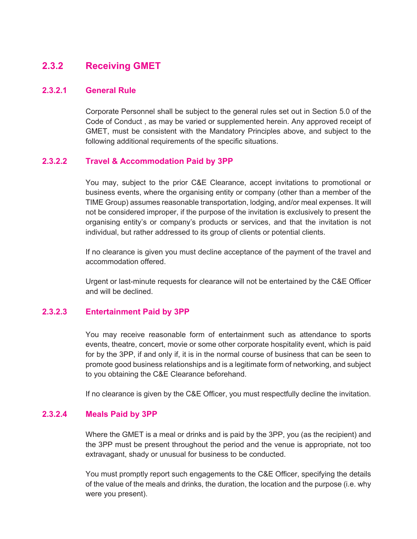## **2.3.2 Receiving GMET**

#### **2.3.2.1 General Rule**

Corporate Personnel shall be subject to the general rules set out in Section 5.0 of the Code of Conduct , as may be varied or supplemented herein. Any approved receipt of GMET, must be consistent with the Mandatory Principles above, and subject to the following additional requirements of the specific situations.

#### **2.3.2.2 Travel & Accommodation Paid by 3PP**

You may, subject to the prior C&E Clearance, accept invitations to promotional or business events, where the organising entity or company (other than a member of the TIME Group) assumes reasonable transportation, lodging, and/or meal expenses. It will not be considered improper, if the purpose of the invitation is exclusively to present the organising entity's or company's products or services, and that the invitation is not individual, but rather addressed to its group of clients or potential clients.

If no clearance is given you must decline acceptance of the payment of the travel and accommodation offered.

Urgent or last-minute requests for clearance will not be entertained by the C&E Officer and will be declined.

#### **2.3.2.3 Entertainment Paid by 3PP**

You may receive reasonable form of entertainment such as attendance to sports events, theatre, concert, movie or some other corporate hospitality event, which is paid for by the 3PP, if and only if, it is in the normal course of business that can be seen to promote good business relationships and is a legitimate form of networking, and subject to you obtaining the C&E Clearance beforehand.

If no clearance is given by the C&E Officer, you must respectfully decline the invitation.

#### **2.3.2.4 Meals Paid by 3PP**

Where the GMET is a meal or drinks and is paid by the 3PP, you (as the recipient) and the 3PP must be present throughout the period and the venue is appropriate, not too extravagant, shady or unusual for business to be conducted.

You must promptly report such engagements to the C&E Officer, specifying the details of the value of the meals and drinks, the duration, the location and the purpose (i.e. why were you present).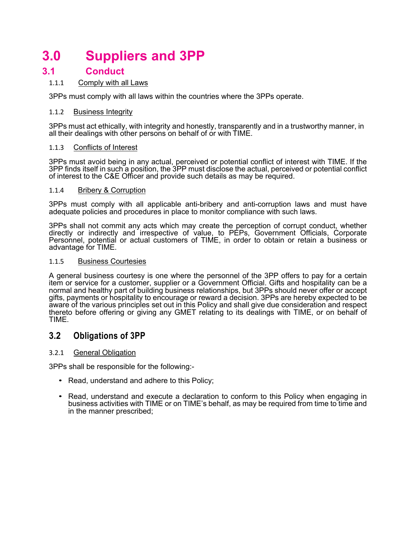## **3.0 Suppliers and 3PP**

## **3.1 Conduct**

#### 1.1.1 Comply with all Laws

3PPs must comply with all laws within the countries where the 3PPs operate.

#### 1.1.2 Business Integrity

3PPs must act ethically, with integrity and honestly, transparently and in a trustworthy manner, in all their dealings with other persons on behalf of or with TIME.

#### 1.1.3 Conflicts of Interest

3PPs must avoid being in any actual, perceived or potential conflict of interest with TIME. If the 3PP finds itself in such a position, the 3PP must disclose the actual, perceived or potential conflict of interest to the C&E Officer and provide such details as may be required.

#### 1.1.4 Bribery & Corruption

3PPs must comply with all applicable anti-bribery and anti-corruption laws and must have adequate policies and procedures in place to monitor compliance with such laws.

3PPs shall not commit any acts which may create the perception of corrupt conduct, whether directly or indirectly and irrespective of value, to PEPs, Government Officials, Corporate Personnel, potential or actual customers of TIME, in order to obtain or retain a business or advantage for TIME.

#### 1.1.5 Business Courtesies

A general business courtesy is one where the personnel of the 3PP offers to pay for a certain item or service for a customer, supplier or a Government Official. Gifts and hospitality can be a normal and healthy part of building business relationships, but 3PPs should never offer or accept gifts, payments or hospitality to encourage or reward a decision. 3PPs are hereby expected to be aware of the various principles set out in this Policy and shall give due consideration and respect thereto before offering or giving any GMET relating to its dealings with TIME, or on behalf of TIME.

### **3.2 Obligations of 3PP**

#### 3.2.1 General Obligation

3PPs shall be responsible for the following:-

- Read, understand and adhere to this Policy;
- Read, understand and execute a declaration to conform to this Policy when engaging in business activities with TIME or on TIME's behalf, as may be required from time to time and in the manner prescribed;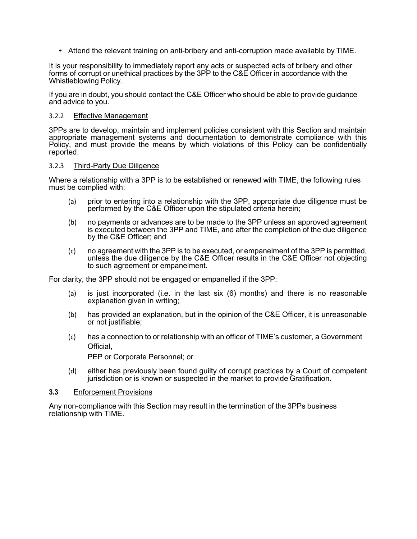• Attend the relevant training on anti-bribery and anti-corruption made available by TIME.

It is your responsibility to immediately report any acts or suspected acts of bribery and other forms of corrupt or unethical practices by the 3PP to the C&E Officer in accordance with the Whistleblowing Policy.

If you are in doubt, you should contact the C&E Officer who should be able to provide guidance and advice to you.

#### 3.2.2 Effective Management

3PPs are to develop, maintain and implement policies consistent with this Section and maintain appropriate management systems and documentation to demonstrate compliance with this Policy, and must provide the means by which violations of this Policy can be confidentially reported.

#### 3.2.3 Third-Party Due Diligence

Where a relationship with a 3PP is to be established or renewed with TIME, the following rules must be complied with:

- (a) prior to entering into a relationship with the 3PP, appropriate due diligence must be performed by the C&E Officer upon the stipulated criteria herein;
- (b) no payments or advances are to be made to the 3PP unless an approved agreement is executed between the 3PP and TIME, and after the completion of the due diligence by the C&E Officer; and
- (c) no agreement with the 3PP is to be executed, or empanelment of the 3PP is permitted, unless the due diligence by the C&E Officer results in the C&E Officer not objecting to such agreement or empanelment.

For clarity, the 3PP should not be engaged or empanelled if the 3PP:

- (a) is just incorporated (i.e. in the last six (6) months) and there is no reasonable explanation given in writing;
- (b) has provided an explanation, but in the opinion of the C&E Officer, it is unreasonable or not justifiable;
- (c) has a connection to or relationship with an officer of TIME's customer, a Government Official,

PEP or Corporate Personnel; or

(d) either has previously been found guilty of corrupt practices by a Court of competent jurisdiction or is known or suspected in the market to provide Gratification.

#### **3.3** Enforcement Provisions

Any non-compliance with this Section may result in the termination of the 3PPs business relationship with TIME.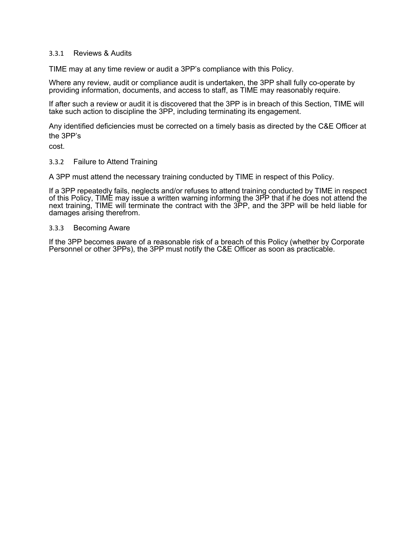#### 3.3.1 Reviews & Audits

TIME may at any time review or audit a 3PP's compliance with this Policy.

Where any review, audit or compliance audit is undertaken, the 3PP shall fully co-operate by providing information, documents, and access to staff, as TIME may reasonably require.

If after such a review or audit it is discovered that the 3PP is in breach of this Section, TIME will take such action to discipline the 3PP, including terminating its engagement.

Any identified deficiencies must be corrected on a timely basis as directed by the C&E Officer at the 3PP's

cost.

#### 3.3.2 Failure to Attend Training

A 3PP must attend the necessary training conducted by TIME in respect of this Policy.

If a 3PP repeatedly fails, neglects and/or refuses to attend training conducted by TIME in respect of this Policy, TIME may issue a written warning informing the 3PP that if he does not attend the next training, TIME will terminate the contract with the 3PP, and the 3PP will be held liable for damages arising therefrom.

#### 3.3.3 Becoming Aware

If the 3PP becomes aware of a reasonable risk of a breach of this Policy (whether by Corporate Personnel or other 3PPs), the 3PP must notify the C&E Officer as soon as practicable.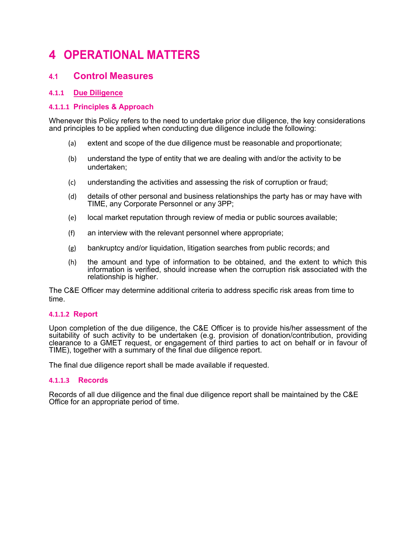## **4 OPERATIONAL MATTERS**

## **4.1 Control Measures**

#### **4.1.1 Due Diligence**

#### **4.1.1.1 Principles & Approach**

Whenever this Policy refers to the need to undertake prior due diligence, the key considerations and principles to be applied when conducting due diligence include the following:

- (a) extent and scope of the due diligence must be reasonable and proportionate;
- (b) understand the type of entity that we are dealing with and/or the activity to be undertaken;
- (c) understanding the activities and assessing the risk of corruption or fraud;
- (d) details of other personal and business relationships the party has or may have with TIME, any Corporate Personnel or any 3PP;
- (e) local market reputation through review of media or public sources available;
- (f) an interview with the relevant personnel where appropriate;
- (g) bankruptcy and/or liquidation, litigation searches from public records; and
- (h) the amount and type of information to be obtained, and the extent to which this information is verified, should increase when the corruption risk associated with the relationship is higher.

The C&E Officer may determine additional criteria to address specific risk areas from time to time.

#### **4.1.1.2 Report**

Upon completion of the due diligence, the C&E Officer is to provide his/her assessment of the suitability of such activity to be undertaken (e.g. provision of donation/contribution, providing clearance to a GMET request, or engagement of third parties to act on behalf or in favour of TIME), together with a summary of the final due diligence report.

The final due diligence report shall be made available if requested.

#### **4.1.1.3 Records**

Records of all due diligence and the final due diligence report shall be maintained by the C&E Office for an appropriate period of time.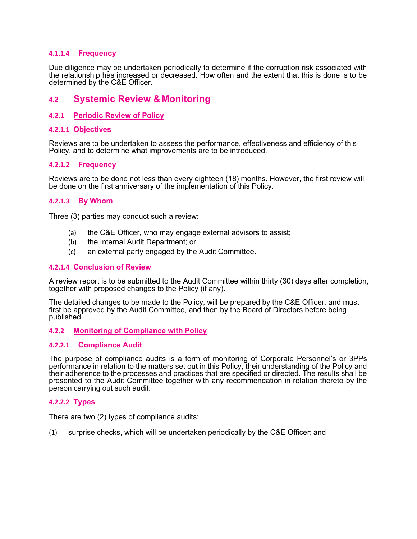#### **4.1.1.4 Frequency**

Due diligence may be undertaken periodically to determine if the corruption risk associated with the relationship has increased or decreased. How often and the extent that this is done is to be determined by the C&E Officer.

## **4.2 Systemic Review &Monitoring**

#### **4.2.1 Periodic Review of Policy**

#### **4.2.1.1 Objectives**

Reviews are to be undertaken to assess the performance, effectiveness and efficiency of this Policy, and to determine what improvements are to be introduced.

#### **4.2.1.2 Frequency**

Reviews are to be done not less than every eighteen (18) months. However, the first review will be done on the first anniversary of the implementation of this Policy.

#### **4.2.1.3 By Whom**

Three (3) parties may conduct such a review:

- (a) the C&E Officer, who may engage external advisors to assist;
- (b) the Internal Audit Department; or
- (c) an external party engaged by the Audit Committee.

#### **4.2.1.4 Conclusion of Review**

A review report is to be submitted to the Audit Committee within thirty (30) days after completion, together with proposed changes to the Policy (if any).

The detailed changes to be made to the Policy, will be prepared by the C&E Officer, and must first be approved by the Audit Committee, and then by the Board of Directors before being published.

#### **4.2.2 Monitoring of Compliance with Policy**

#### **4.2.2.1 Compliance Audit**

The purpose of compliance audits is a form of monitoring of Corporate Personnel's or 3PPs performance in relation to the matters set out in this Policy, their understanding of the Policy and their adherence to the processes and practices that are specified or directed. The results shall be presented to the Audit Committee together with any recommendation in relation thereto by the person carrying out such audit.

#### **4.2.2.2 Types**

There are two (2) types of compliance audits:

(1) surprise checks, which will be undertaken periodically by the C&E Officer; and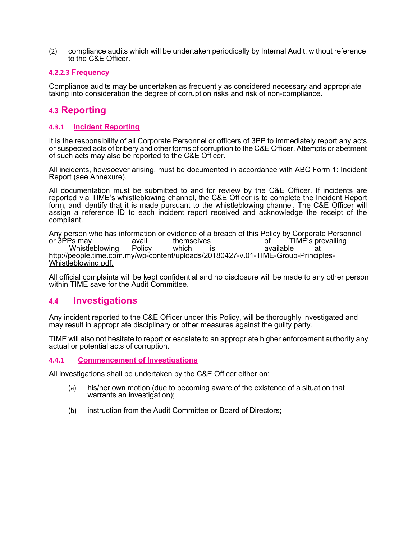(2) compliance audits which will be undertaken periodically by Internal Audit, without reference to the C&E Officer.

#### **4.2.2.3 Frequency**

Compliance audits may be undertaken as frequently as considered necessary and appropriate taking into consideration the degree of corruption risks and risk of non-compliance.

## **4.3 Reporting**

#### **4.3.1 Incident Reporting**

It is the responsibility of all Corporate Personnel or officers of 3PP to immediately report any acts or suspected acts of bribery and other forms of corruption to the C&E Officer. Attempts or abetment of such acts may also be reported to the C&E Officer.

All incidents, howsoever arising, must be documented in accordance with ABC Form 1: Incident Report (see Annexure).

All documentation must be submitted to and for review by the C&E Officer. If incidents are reported via TIME's whistleblowing channel, the C&E Officer is to complete the Incident Report form, and identify that it is made pursuant to the whistleblowing channel. The C&E Officer will assign a reference ID to each incident report received and acknowledge the receipt of the compliant.

Any person who has information or evidence of a breach of this Policy by Corporate Personnel<br>or 3PPs may avail themselves of TIME's prevailing TIME's prevailing Whistleblowing Policy which is available at http://people.time.com.my/wp-content/uploads/20180427-v.01-TIME-Group-Principles-<br>Whistleblowing.pdf.

All official complaints will be kept confidential and no disclosure will be made to any other person within TIME save for the Audit Committee.

### **4.4 Investigations**

Any incident reported to the C&E Officer under this Policy, will be thoroughly investigated and may result in appropriate disciplinary or other measures against the guilty party.

TIME will also not hesitate to report or escalate to an appropriate higher enforcement authority any actual or potential acts of corruption.

#### **4.4.1 Commencement of Investigations**

All investigations shall be undertaken by the C&E Officer either on:

- (a) his/her own motion (due to becoming aware of the existence of a situation that warrants an investigation);
- (b) instruction from the Audit Committee or Board of Directors;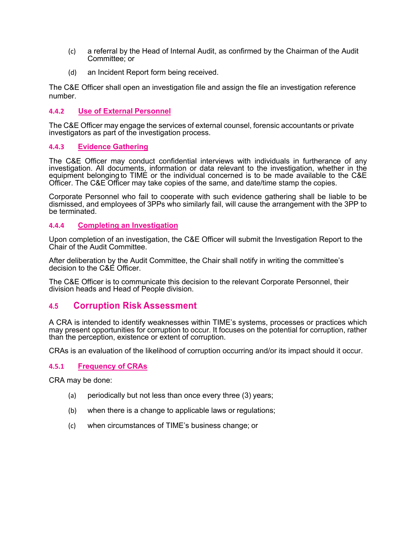- (c) a referral by the Head of Internal Audit, as confirmed by the Chairman of the Audit Committee; or
- (d) an Incident Report form being received.

The C&E Officer shall open an investigation file and assign the file an investigation reference number.

#### **4.4.2 Use of External Personnel**

The C&E Officer may engage the services of external counsel, forensic accountants or private investigators as part of the investigation process.

#### **4.4.3 Evidence Gathering**

The C&E Officer may conduct confidential interviews with individuals in furtherance of any investigation. All documents, information or data relevant to the investigation, whether in the equipment belonging to TIME or the individual concerned is to be made available to the C&E Officer. The C&E Officer may take copies of the same, and date/time stamp the copies.

Corporate Personnel who fail to cooperate with such evidence gathering shall be liable to be dismissed, and employees of 3PPs who similarly fail, will cause the arrangement with the 3PP to be terminated.

#### **4.4.4 Completing an Investigation**

Upon completion of an investigation, the C&E Officer will submit the Investigation Report to the Chair of the Audit Committee.

After deliberation by the Audit Committee, the Chair shall notify in writing the committee's decision to the C&E Officer.

The C&E Officer is to communicate this decision to the relevant Corporate Personnel, their division heads and Head of People division.

### **4.5 Corruption Risk Assessment**

A CRA is intended to identify weaknesses within TIME's systems, processes or practices which may present opportunities for corruption to occur. It focuses on the potential for corruption, rather than the perception, existence or extent of corruption.

CRAs is an evaluation of the likelihood of corruption occurring and/or its impact should it occur.

#### **4.5.1 Frequency of CRAs**

CRA may be done:

- (a) periodically but not less than once every three (3) years;
- (b) when there is a change to applicable laws or regulations;
- (c) when circumstances of TIME's business change; or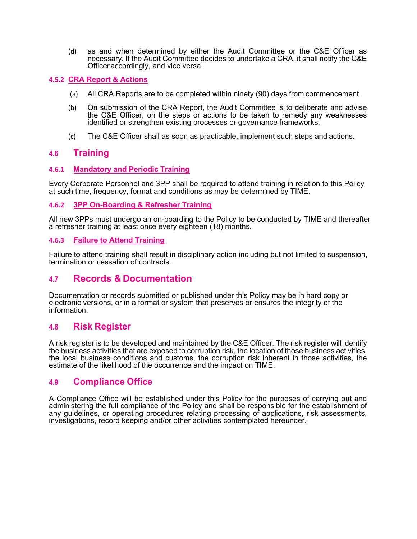(d) as and when determined by either the Audit Committee or the C&E Officer as necessary. If the Audit Committee decides to undertake a CRA, it shall notify the C&E Officeraccordingly, and vice versa.

#### **4.5.2 CRA Report & Actions**

- (a) All CRA Reports are to be completed within ninety (90) days from commencement.
- (b) On submission of the CRA Report, the Audit Committee is to deliberate and advise the C&E Officer, on the steps or actions to be taken to remedy any weaknesses identified or strengthen existing processes or governance frameworks.
- (c) The C&E Officer shall as soon as practicable, implement such steps and actions.

#### **4.6 Training**

#### **4.6.1 Mandatory and Periodic Training**

Every Corporate Personnel and 3PP shall be required to attend training in relation to this Policy at such time, frequency, format and conditions as may be determined by TIME.

#### **4.6.2 3PP On-Boarding & Refresher Training**

All new 3PPs must undergo an on-boarding to the Policy to be conducted by TIME and thereafter a refresher training at least once every eighteen (18) months.

#### **4.6.3 Failure to Attend Training**

Failure to attend training shall result in disciplinary action including but not limited to suspension, termination or cessation of contracts.

### **4.7 Records & Documentation**

Documentation or records submitted or published under this Policy may be in hard copy or electronic versions, or in a format or system that preserves or ensures the integrity of the information.

### **4.8 Risk Register**

A risk register is to be developed and maintained by the C&E Officer. The risk register will identify the business activities that are exposed to corruption risk, the location of those business activities, the local business conditions and customs, the corruption risk inherent in those activities, the estimate of the likelihood of the occurrence and the impact on TIME.

## **4.9 Compliance Office**

A Compliance Office will be established under this Policy for the purposes of carrying out and administering the full compliance of the Policy and shall be responsible for the establishment of any guidelines, or operating procedures relating processing of applications, risk assessments, investigations, record keeping and/or other activities contemplated hereunder.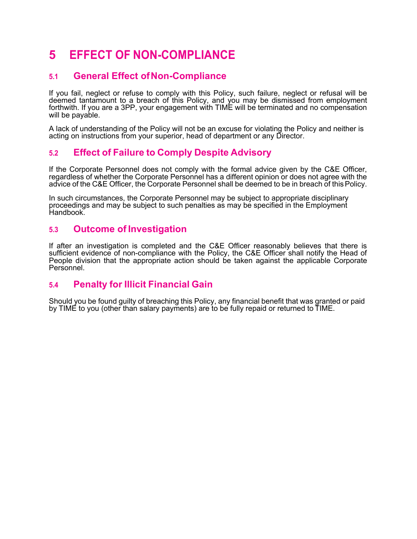## **5 EFFECT OF NON-COMPLIANCE**

## **5.1 General Effect ofNon-Compliance**

If you fail, neglect or refuse to comply with this Policy, such failure, neglect or refusal will be deemed tantamount to a breach of this Policy, and you may be dismissed from employment forthwith. If you are a 3PP, your engagement with TIME will be terminated and no compensation will be payable.

A lack of understanding of the Policy will not be an excuse for violating the Policy and neither is acting on instructions from your superior, head of department or any Director.

## **5.2 Effect of Failure to Comply Despite Advisory**

If the Corporate Personnel does not comply with the formal advice given by the C&E Officer, regardless of whether the Corporate Personnel has a different opinion or does not agree with the advice of the C&E Officer, the Corporate Personnel shall be deemed to be in breach of thisPolicy.

In such circumstances, the Corporate Personnel may be subject to appropriate disciplinary proceedings and may be subject to such penalties as may be specified in the Employment Handbook.

## **5.3 Outcome of Investigation**

If after an investigation is completed and the C&E Officer reasonably believes that there is sufficient evidence of non-compliance with the Policy, the C&E Officer shall notify the Head of People division that the appropriate action should be taken against the applicable Corporate Personnel.

## **5.4 Penalty for Illicit Financial Gain**

Should you be found guilty of breaching this Policy, any financial benefit that was granted or paid by TIME to you (other than salary payments) are to be fully repaid or returned to TIME.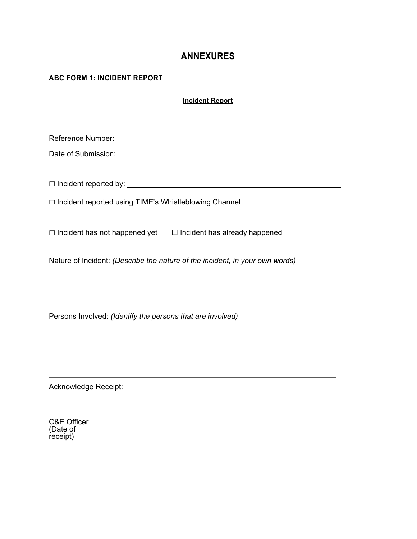## **ANNEXURES**

#### **ABC FORM 1: INCIDENT REPORT**

**Incident Report**

Reference Number:

Date of Submission:

☐ Incident reported by:

☐ Incident reported using TIME's Whistleblowing Channel

☐ Incident has not happened yet ☐ Incident has already happened

Nature of Incident: *(Describe the nature of the incident, in your own words)*

Persons Involved: *(Identify the persons that are involved)*

Acknowledge Receipt:

C&E Officer (Date of receipt)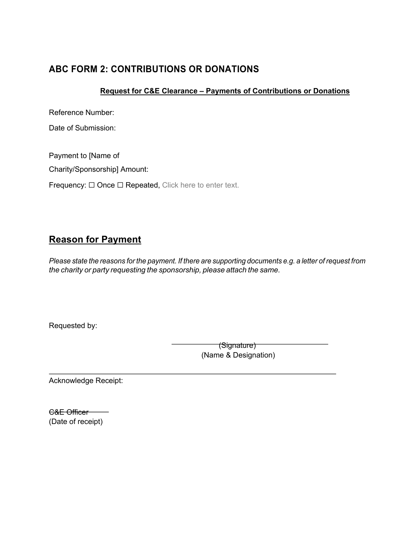## **ABC FORM 2: CONTRIBUTIONS OR DONATIONS**

## **Request for C&E Clearance – Payments of Contributions or Donations**

Reference Number:

Date of Submission:

Payment to [Name of

Charity/Sponsorship] Amount:

Frequency: □ Once □ Repeated, Click here to enter text.

## **Reason for Payment**

Please state the reasons for the payment. If there are supporting documents e.g. a letter of request from *the charity or party requesting the sponsorship, please attach the same.*

Requested by:

(Signature) (Name & Designation)

Acknowledge Receipt:

C&E Officer (Date of receipt)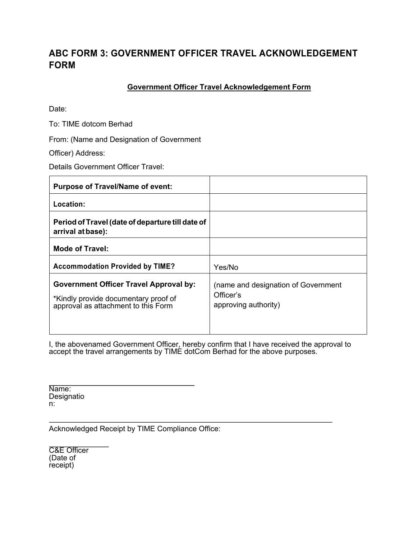## **ABC FORM 3: GOVERNMENT OFFICER TRAVEL ACKNOWLEDGEMENT FORM**

### **Government Officer Travel Acknowledgement Form**

Date:

To: TIME dotcom Berhad

From: (Name and Designation of Government

Officer) Address:

Details Government Officer Travel:

| <b>Purpose of Travel/Name of event:</b>                                                                                      |                                                                          |
|------------------------------------------------------------------------------------------------------------------------------|--------------------------------------------------------------------------|
| Location:                                                                                                                    |                                                                          |
| Period of Travel (date of departure till date of<br>arrival at base):                                                        |                                                                          |
| Mode of Travel:                                                                                                              |                                                                          |
| <b>Accommodation Provided by TIME?</b>                                                                                       | Yes/No                                                                   |
| <b>Government Officer Travel Approval by:</b><br>*Kindly provide documentary proof of<br>approval as attachment to this Form | (name and designation of Government<br>Officer's<br>approving authority) |

I, the abovenamed Government Officer, hereby confirm that I have received the approval to accept the travel arrangements by TIME dotCom Berhad for the above purposes.

Name: Designatio n:

Acknowledged Receipt by TIME Compliance Office:

C&E Officer (Date of receipt)